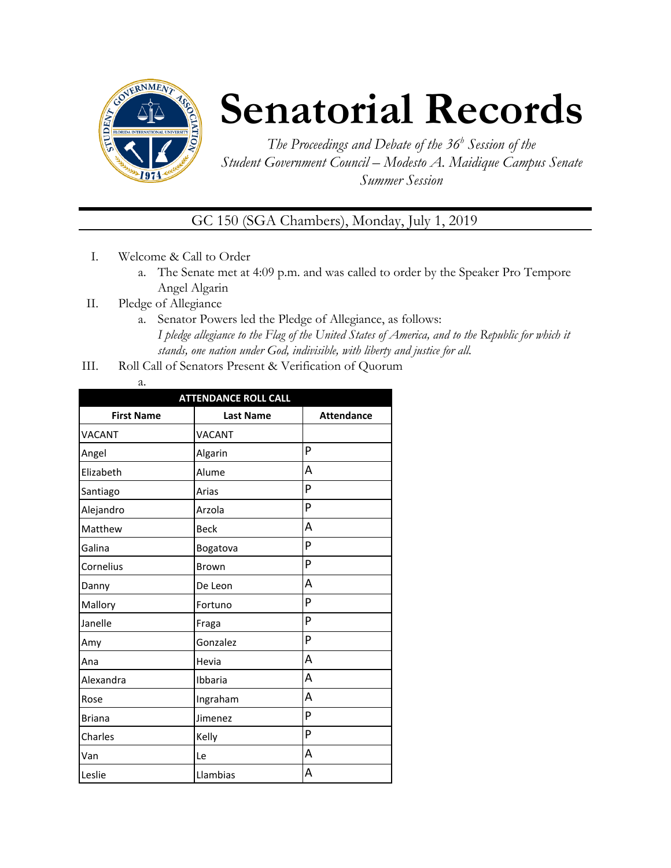

## **Senatorial Records**

*The Proceedings and Debate of the 36 <sup>h</sup> Session of the Student Government Council – Modesto A. Maidique Campus Senate Summer Session*

GC 150 (SGA Chambers), Monday, July 1, 2019

- I. Welcome & Call to Order
	- a. The Senate met at 4:09 p.m. and was called to order by the Speaker Pro Tempore Angel Algarin
- II. Pledge of Allegiance
	- a. Senator Powers led the Pledge of Allegiance, as follows: *I pledge allegiance to the Flag of the United States of America, and to the Republic for which it stands, one nation under God, indivisible, with liberty and justice for all.*
- III. Roll Call of Senators Present & Verification of Quorum
	- a.

| <b>ATTENDANCE ROLL CALL</b> |                  |                   |  |
|-----------------------------|------------------|-------------------|--|
| <b>First Name</b>           | <b>Last Name</b> | <b>Attendance</b> |  |
| <b>VACANT</b>               | VACANT           |                   |  |
| Angel                       | Algarin          | P                 |  |
| Elizabeth                   | Alume            | A                 |  |
| Santiago                    | Arias            | P                 |  |
| Alejandro                   | Arzola           | P                 |  |
| Matthew                     | <b>Beck</b>      | Α                 |  |
| Galina                      | Bogatova         | P                 |  |
| Cornelius                   | <b>Brown</b>     | P                 |  |
| Danny                       | De Leon          | Α                 |  |
| Mallory                     | Fortuno          | P                 |  |
| Janelle                     | Fraga            | P                 |  |
| Amy                         | Gonzalez         | P                 |  |
| Ana                         | Hevia            | A                 |  |
| Alexandra                   | Ibbaria          | A                 |  |
| Rose                        | Ingraham         | A                 |  |
| <b>Briana</b>               | Jimenez          | P                 |  |
| Charles                     | Kelly            | P                 |  |
| Van                         | Le               | Α                 |  |
| Leslie                      | Llambias         | А                 |  |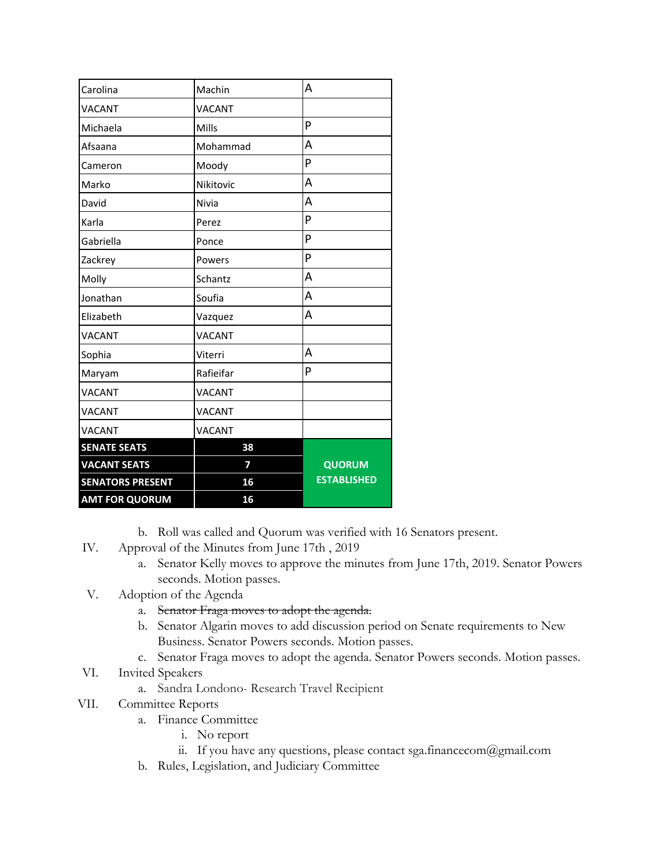| Carolina                | Machin        | A                  |
|-------------------------|---------------|--------------------|
| VACANT                  | <b>VACANT</b> |                    |
| Michaela                | Mills         | P                  |
| Afsaana                 | Mohammad      | A                  |
| Cameron                 | Moody         | P                  |
| Marko                   | Nikitovic     | A                  |
| David                   | Nivia         | A                  |
| Karla                   | Perez         | P                  |
| Gabriella               | Ponce         | P                  |
| Zackrey                 | Powers        | P                  |
| Molly                   | Schantz       | A                  |
| Jonathan                | Soufia        | A                  |
| Elizabeth               | Vazquez       | A                  |
| <b>VACANT</b>           | <b>VACANT</b> |                    |
| Sophia                  | Viterri       | A                  |
| Maryam                  | Rafieifar     | P                  |
| VACANT                  | VACANT        |                    |
| VACANT                  | VACANT        |                    |
| VACANT                  | <b>VACANT</b> |                    |
| <b>SENATE SEATS</b>     | 38            |                    |
| <b>VACANT SEATS</b>     | 7             | <b>QUORUM</b>      |
| <b>SENATORS PRESENT</b> | 16            | <b>ESTABLISHED</b> |
| <b>AMT FOR QUORUM</b>   | 16            |                    |

- b. Roll was called and Quorum was verified with 16 Senators present.
- IV. Approval of the Minutes from June 17th , 2019
	- a. Senator Kelly moves to approve the minutes from June 17th, 2019. Senator Powers seconds. Motion passes.
- V. Adoption of the Agenda
	- a. Senator Fraga moves to adopt the agenda.
	- b. Senator Algarin moves to add discussion period on Senate requirements to New Business. Senator Powers seconds. Motion passes.
	- c. Senator Fraga moves to adopt the agenda. Senator Powers seconds. Motion passes.
- VI. Invited Speakers
	- a. Sandra Londono- Research Travel Recipient
- VII. Committee Reports
	- a. Finance Committee
		- i. No report
		- ii. If you have any questions, please contact sga.financecom@gmail.com
	- b. Rules, Legislation, and Judiciary Committee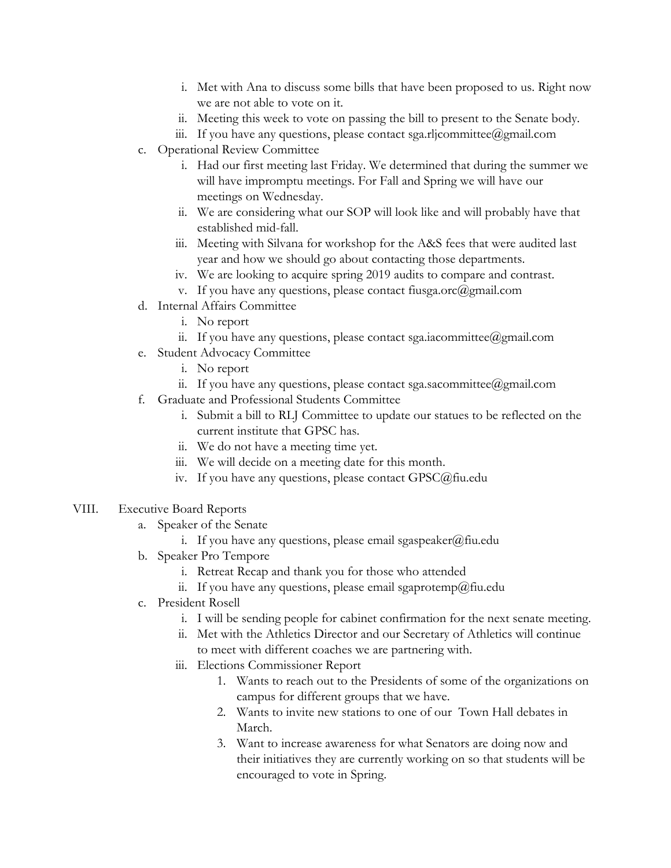- i. Met with Ana to discuss some bills that have been proposed to us. Right now we are not able to vote on it.
- ii. Meeting this week to vote on passing the bill to present to the Senate body.
- iii. If you have any questions, please contact sga.rljcommittee@gmail.com
- c. Operational Review Committee
	- i. Had our first meeting last Friday. We determined that during the summer we will have impromptu meetings. For Fall and Spring we will have our meetings on Wednesday.
	- ii. We are considering what our SOP will look like and will probably have that established mid-fall.
	- iii. Meeting with Silvana for workshop for the A&S fees that were audited last year and how we should go about contacting those departments.
	- iv. We are looking to acquire spring 2019 audits to compare and contrast.
	- v. If you have any questions, please contact fiusga.orc $(\partial g$ mail.com
- d. Internal Affairs Committee
	- i. No report
	- ii. If you have any questions, please contact sga.iacommittee@gmail.com
- e. Student Advocacy Committee
	- i. No report
	- ii. If you have any questions, please contact sga.sacommittee@gmail.com
- f. Graduate and Professional Students Committee
	- i. Submit a bill to RLJ Committee to update our statues to be reflected on the current institute that GPSC has.
	- ii. We do not have a meeting time yet.
	- iii. We will decide on a meeting date for this month.
	- iv. If you have any questions, please contact GPSC@fiu.edu
- VIII. Executive Board Reports
	- a. Speaker of the Senate
		- i. If you have any questions, please email sgaspeaker@fiu.edu
	- b. Speaker Pro Tempore
		- i. Retreat Recap and thank you for those who attended
		- ii. If you have any questions, please email sgaprotemp@fiu.edu
	- c. President Rosell
		- i. I will be sending people for cabinet confirmation for the next senate meeting.
		- ii. Met with the Athletics Director and our Secretary of Athletics will continue to meet with different coaches we are partnering with.
		- iii. Elections Commissioner Report
			- 1. Wants to reach out to the Presidents of some of the organizations on campus for different groups that we have.
			- 2. Wants to invite new stations to one of our Town Hall debates in March.
			- 3. Want to increase awareness for what Senators are doing now and their initiatives they are currently working on so that students will be encouraged to vote in Spring.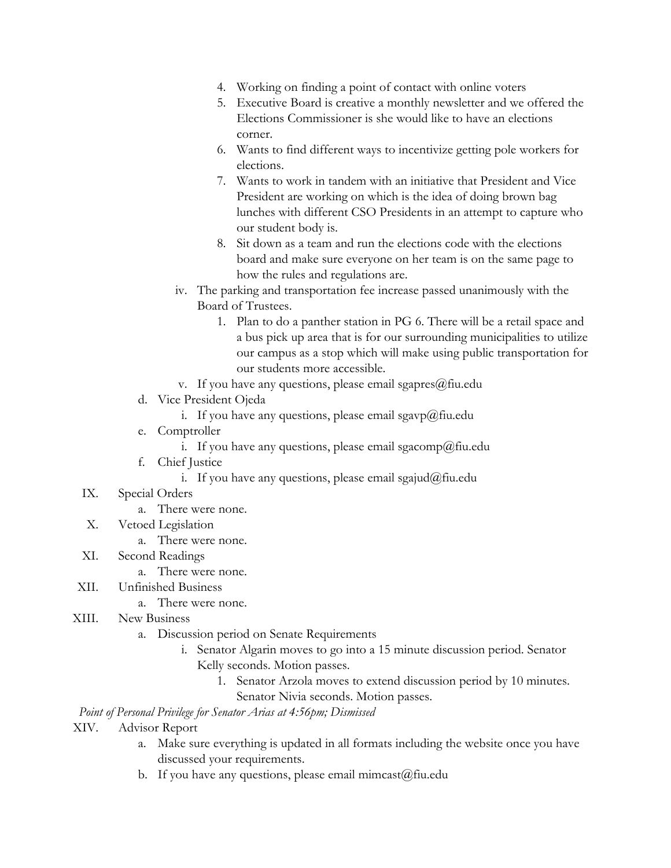- 4. Working on finding a point of contact with online voters
- 5. Executive Board is creative a monthly newsletter and we offered the Elections Commissioner is she would like to have an elections corner.
- 6. Wants to find different ways to incentivize getting pole workers for elections.
- 7. Wants to work in tandem with an initiative that President and Vice President are working on which is the idea of doing brown bag lunches with different CSO Presidents in an attempt to capture who our student body is.
- 8. Sit down as a team and run the elections code with the elections board and make sure everyone on her team is on the same page to how the rules and regulations are.
- iv. The parking and transportation fee increase passed unanimously with the Board of Trustees.
	- 1. Plan to do a panther station in PG 6. There will be a retail space and a bus pick up area that is for our surrounding municipalities to utilize our campus as a stop which will make using public transportation for our students more accessible.
- v. If you have any questions, please email sgapres $@$ fiu.edu
- d. Vice President Ojeda
	- i. If you have any questions, please email sgavp@fiu.edu
- e. Comptroller
	- i. If you have any questions, please email sgacomp@fiu.edu
- f. Chief Justice
	- i. If you have any questions, please email sgajud@fiu.edu
- IX. Special Orders
	- a. There were none.
- X. Vetoed Legislation
	- a. There were none.
- XI. Second Readings
	- a. There were none.
- XII. Unfinished Business
	- a. There were none.
- XIII. New Business
	- a. Discussion period on Senate Requirements
		- i. Senator Algarin moves to go into a 15 minute discussion period. Senator Kelly seconds. Motion passes.
			- 1. Senator Arzola moves to extend discussion period by 10 minutes. Senator Nivia seconds. Motion passes.

*Point of Personal Privilege for Senator Arias at 4:56pm; Dismissed*

- XIV. Advisor Report
	- a. Make sure everything is updated in all formats including the website once you have discussed your requirements.
	- b. If you have any questions, please email mimcast $(\hat{\omega})$ fiu.edu